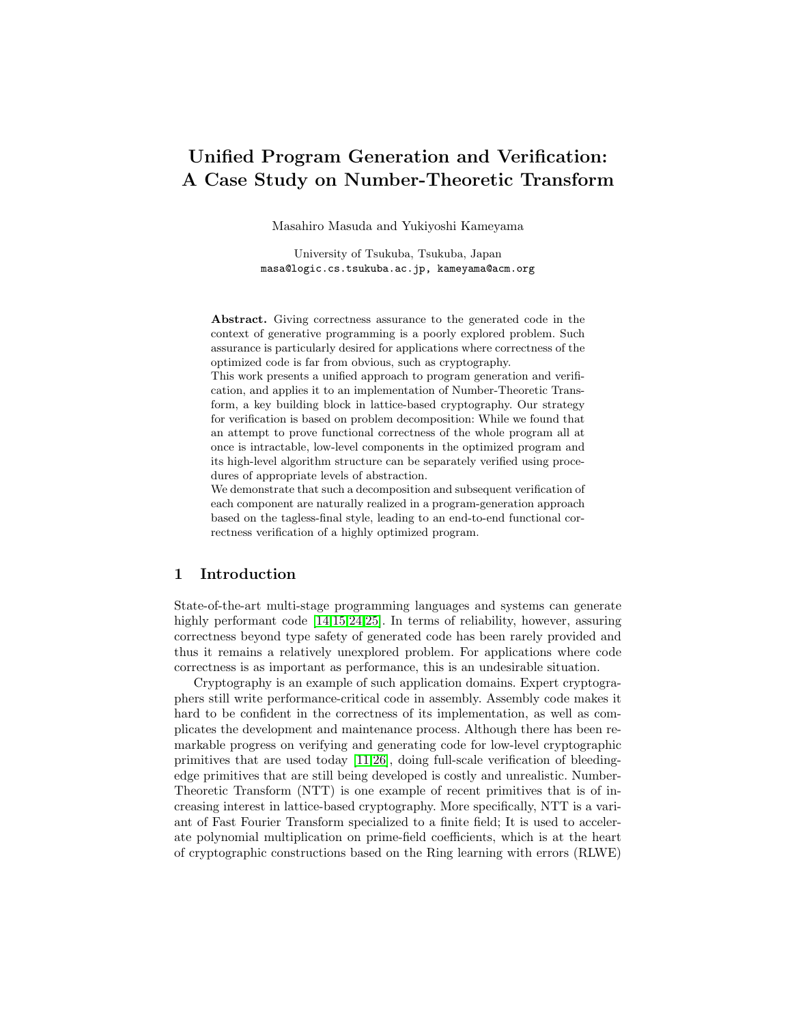# Unified Program Generation and Verification: A Case Study on Number-Theoretic Transform

Masahiro Masuda and Yukiyoshi Kameyama

University of Tsukuba, Tsukuba, Japan masa@logic.cs.tsukuba.ac.jp, kameyama@acm.org

Abstract. Giving correctness assurance to the generated code in the context of generative programming is a poorly explored problem. Such assurance is particularly desired for applications where correctness of the optimized code is far from obvious, such as cryptography.

This work presents a unified approach to program generation and verification, and applies it to an implementation of Number-Theoretic Transform, a key building block in lattice-based cryptography. Our strategy for verification is based on problem decomposition: While we found that an attempt to prove functional correctness of the whole program all at once is intractable, low-level components in the optimized program and its high-level algorithm structure can be separately verified using procedures of appropriate levels of abstraction.

We demonstrate that such a decomposition and subsequent verification of each component are naturally realized in a program-generation approach based on the tagless-final style, leading to an end-to-end functional correctness verification of a highly optimized program.

## 1 Introduction

State-of-the-art multi-stage programming languages and systems can generate highly performant code [\[14,](#page-17-0)[15,](#page-17-1)[24,](#page-17-2)[25\]](#page-17-3). In terms of reliability, however, assuring correctness beyond type safety of generated code has been rarely provided and thus it remains a relatively unexplored problem. For applications where code correctness is as important as performance, this is an undesirable situation.

Cryptography is an example of such application domains. Expert cryptographers still write performance-critical code in assembly. Assembly code makes it hard to be confident in the correctness of its implementation, as well as complicates the development and maintenance process. Although there has been remarkable progress on verifying and generating code for low-level cryptographic primitives that are used today [\[11,](#page-16-0)[26\]](#page-17-4), doing full-scale verification of bleedingedge primitives that are still being developed is costly and unrealistic. Number-Theoretic Transform (NTT) is one example of recent primitives that is of increasing interest in lattice-based cryptography. More specifically, NTT is a variant of Fast Fourier Transform specialized to a finite field; It is used to accelerate polynomial multiplication on prime-field coefficients, which is at the heart of cryptographic constructions based on the Ring learning with errors (RLWE)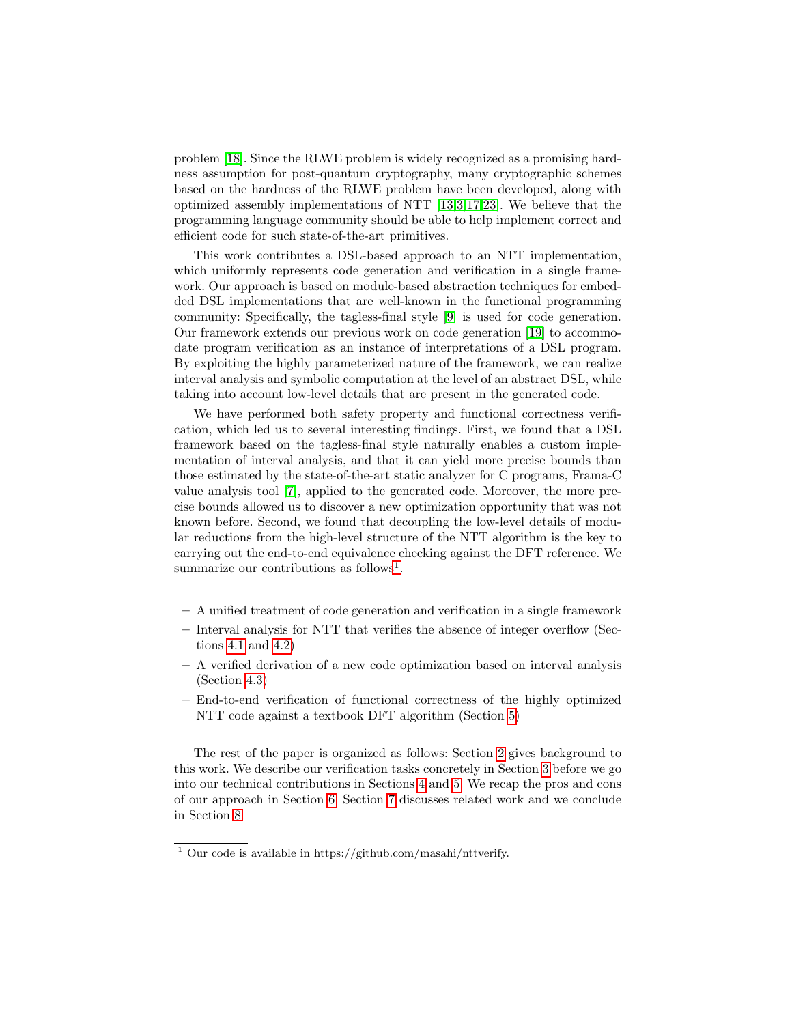problem [\[18\]](#page-17-5). Since the RLWE problem is widely recognized as a promising hardness assumption for post-quantum cryptography, many cryptographic schemes based on the hardness of the RLWE problem have been developed, along with optimized assembly implementations of NTT [\[13](#page-16-1)[,3,](#page-16-2)[17,](#page-17-6)[23\]](#page-17-7). We believe that the programming language community should be able to help implement correct and efficient code for such state-of-the-art primitives.

This work contributes a DSL-based approach to an NTT implementation, which uniformly represents code generation and verification in a single framework. Our approach is based on module-based abstraction techniques for embedded DSL implementations that are well-known in the functional programming community: Specifically, the tagless-final style [\[9\]](#page-16-3) is used for code generation. Our framework extends our previous work on code generation [\[19\]](#page-17-8) to accommodate program verification as an instance of interpretations of a DSL program. By exploiting the highly parameterized nature of the framework, we can realize interval analysis and symbolic computation at the level of an abstract DSL, while taking into account low-level details that are present in the generated code.

We have performed both safety property and functional correctness verification, which led us to several interesting findings. First, we found that a DSL framework based on the tagless-final style naturally enables a custom implementation of interval analysis, and that it can yield more precise bounds than those estimated by the state-of-the-art static analyzer for C programs, Frama-C value analysis tool [\[7\]](#page-16-4), applied to the generated code. Moreover, the more precise bounds allowed us to discover a new optimization opportunity that was not known before. Second, we found that decoupling the low-level details of modular reductions from the high-level structure of the NTT algorithm is the key to carrying out the end-to-end equivalence checking against the DFT reference. We summarize our contributions as follows<sup>[1](#page-1-0)</sup>.

- A unified treatment of code generation and verification in a single framework
- Interval analysis for NTT that verifies the absence of integer overflow (Sections [4.1](#page-7-0) and [4.2\)](#page-8-0)
- A verified derivation of a new code optimization based on interval analysis (Section [4.3\)](#page-9-0)
- End-to-end verification of functional correctness of the highly optimized NTT code against a textbook DFT algorithm (Section [5\)](#page-11-0)

The rest of the paper is organized as follows: Section [2](#page-2-0) gives background to this work. We describe our verification tasks concretely in Section [3](#page-5-0) before we go into our technical contributions in Sections [4](#page-7-1) and [5.](#page-11-0) We recap the pros and cons of our approach in Section [6.](#page-14-0) Section [7](#page-14-1) discusses related work and we conclude in Section [8.](#page-15-0)

<span id="page-1-0"></span><sup>&</sup>lt;sup>1</sup> Our code is available in https://github.com/masahi/nttverify.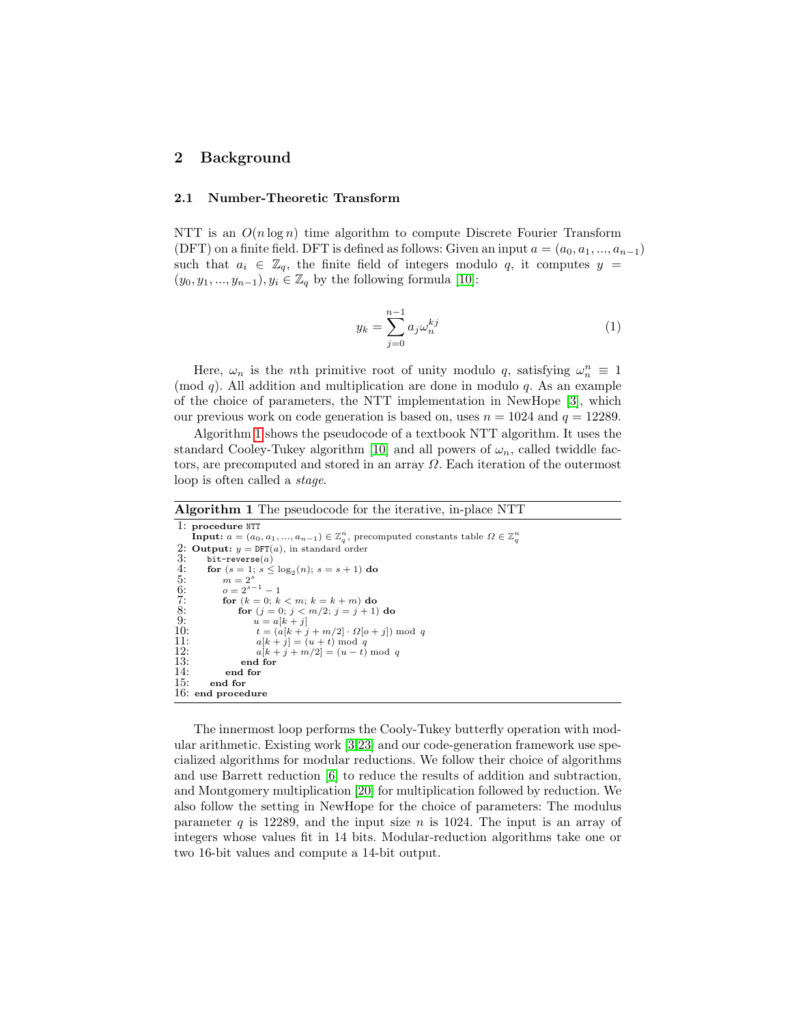## <span id="page-2-0"></span>2 Background

## <span id="page-2-2"></span>2.1 Number-Theoretic Transform

NTT is an  $O(n \log n)$  time algorithm to compute Discrete Fourier Transform (DFT) on a finite field. DFT is defined as follows: Given an input  $a = (a_0, a_1, ..., a_{n-1})$ such that  $a_i \in \mathbb{Z}_q$ , the finite field of integers modulo q, it computes  $y =$  $(y_0, y_1, ..., y_{n-1}), y_i \in \mathbb{Z}_q$  by the following formula [\[10\]](#page-16-5):

<span id="page-2-3"></span>
$$
y_k = \sum_{j=0}^{n-1} a_j \omega_n^{kj} \tag{1}
$$

Here,  $\omega_n$  is the *n*th primitive root of unity modulo q, satisfying  $\omega_n^n \equiv 1$ (mod  $q$ ). All addition and multiplication are done in modulo  $q$ . As an example of the choice of parameters, the NTT implementation in NewHope [\[3\]](#page-16-2), which our previous work on code generation is based on, uses  $n = 1024$  and  $q = 12289$ .

Algorithm [1](#page-2-1) shows the pseudocode of a textbook NTT algorithm. It uses the standard Cooley-Tukey algorithm [\[10\]](#page-16-5) and all powers of  $\omega_n$ , called twiddle factors, are precomputed and stored in an array  $\Omega$ . Each iteration of the outermost loop is often called a stage.

<span id="page-2-1"></span>

| <b>Algorithm 1</b> The pseudocode for the iterative, in-place NTT                                                      |
|------------------------------------------------------------------------------------------------------------------------|
| $\mathbf{1}$ : procedure NTT                                                                                           |
| <b>Input:</b> $a = (a_0, a_1, , a_{n-1}) \in \mathbb{Z}_q^n$ , precomputed constants table $\Omega \in \mathbb{Z}_q^n$ |
| 2:<br><b>Output:</b> $y = DFT(a)$ , in standard order                                                                  |
| 3:<br>bit-reverse $(a)$                                                                                                |
| 4:<br>for $(s = 1; s < log_2(n); s = s + 1)$ do                                                                        |
| 5:<br>$m = 2s$                                                                                                         |
| 6:<br>$a = 2^{s-1} - 1$                                                                                                |
| 7:<br>for $(k = 0; k < m; k = k + m)$ do                                                                               |
| 8:<br>for $(i = 0; i < m/2; i = i + 1)$ do                                                                             |
| 9:<br>$u = a[k + i]$                                                                                                   |
| 10:<br>$t = (a[k + j + m/2] \cdot \Omega[o + j]) \bmod q$                                                              |
| 11:<br>$a[k + j] = (u + t) \bmod q$                                                                                    |
| 12:<br>$a[k + j + m/2] = (u - t) \bmod q$                                                                              |
| 13:<br>end for                                                                                                         |
| 14:<br>end for                                                                                                         |
| 15:<br>end for                                                                                                         |
| $16:$ end procedure                                                                                                    |

The innermost loop performs the Cooly-Tukey butterfly operation with modular arithmetic. Existing work [\[3,](#page-16-2)[23\]](#page-17-7) and our code-generation framework use specialized algorithms for modular reductions. We follow their choice of algorithms and use Barrett reduction [\[6\]](#page-16-6) to reduce the results of addition and subtraction, and Montgomery multiplication [\[20\]](#page-17-9) for multiplication followed by reduction. We also follow the setting in NewHope for the choice of parameters: The modulus parameter q is 12289, and the input size  $n$  is 1024. The input is an array of integers whose values fit in 14 bits. Modular-reduction algorithms take one or two 16-bit values and compute a 14-bit output.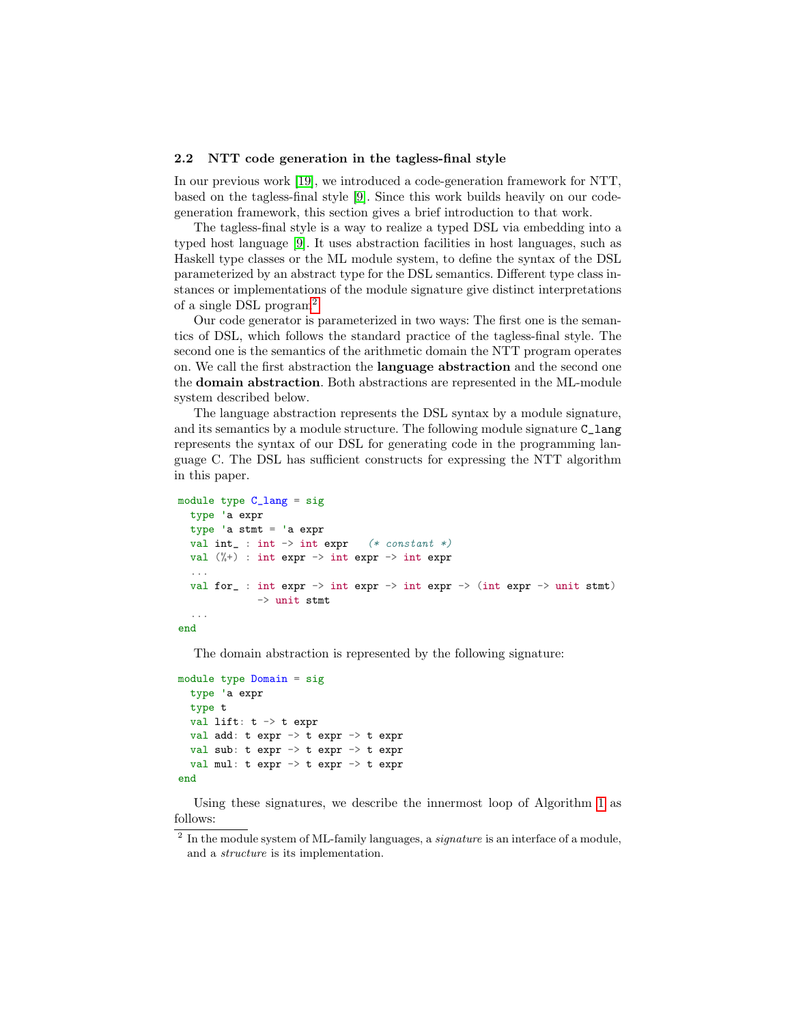#### <span id="page-3-1"></span>2.2 NTT code generation in the tagless-final style

In our previous work [\[19\]](#page-17-8), we introduced a code-generation framework for NTT, based on the tagless-final style [\[9\]](#page-16-3). Since this work builds heavily on our codegeneration framework, this section gives a brief introduction to that work.

The tagless-final style is a way to realize a typed DSL via embedding into a typed host language [\[9\]](#page-16-3). It uses abstraction facilities in host languages, such as Haskell type classes or the ML module system, to define the syntax of the DSL parameterized by an abstract type for the DSL semantics. Different type class instances or implementations of the module signature give distinct interpretations of a single DSL program<sup>[2](#page-3-0)</sup>.

Our code generator is parameterized in two ways: The first one is the semantics of DSL, which follows the standard practice of the tagless-final style. The second one is the semantics of the arithmetic domain the NTT program operates on. We call the first abstraction the language abstraction and the second one the domain abstraction. Both abstractions are represented in the ML-module system described below.

The language abstraction represents the DSL syntax by a module signature, and its semantics by a module structure. The following module signature C\_lang represents the syntax of our DSL for generating code in the programming language C. The DSL has sufficient constructs for expressing the NTT algorithm in this paper.

```
module type C_lang = sig
  type 'a expr
  type 'a stmt = 'a expr
  val int_ : int \rightarrow int expr (* constant *)
  val (\frac{9}{6}+) : int expr \rightarrow int expr \rightarrow int expr
   ...
  val for_ : int expr \rightarrow int expr \rightarrow int expr \rightarrow (int expr \rightarrow unit stmt)
                 -> unit stmt
  ...
end
```
The domain abstraction is represented by the following signature:

```
module type Domain = sig
  type 'a expr
  type t
  val lift: t \rightarrow t expr
  val add: t expr \rightarrow t expr \rightarrow t expr
  val sub: t expr \rightarrow t expr \rightarrow t expr
   val mul: t expr \rightarrow t expr \rightarrow t expr
end
```
Using these signatures, we describe the innermost loop of Algorithm [1](#page-2-1) as follows:

<span id="page-3-0"></span><sup>&</sup>lt;sup>2</sup> In the module system of ML-family languages, a *signature* is an interface of a module, and a structure is its implementation.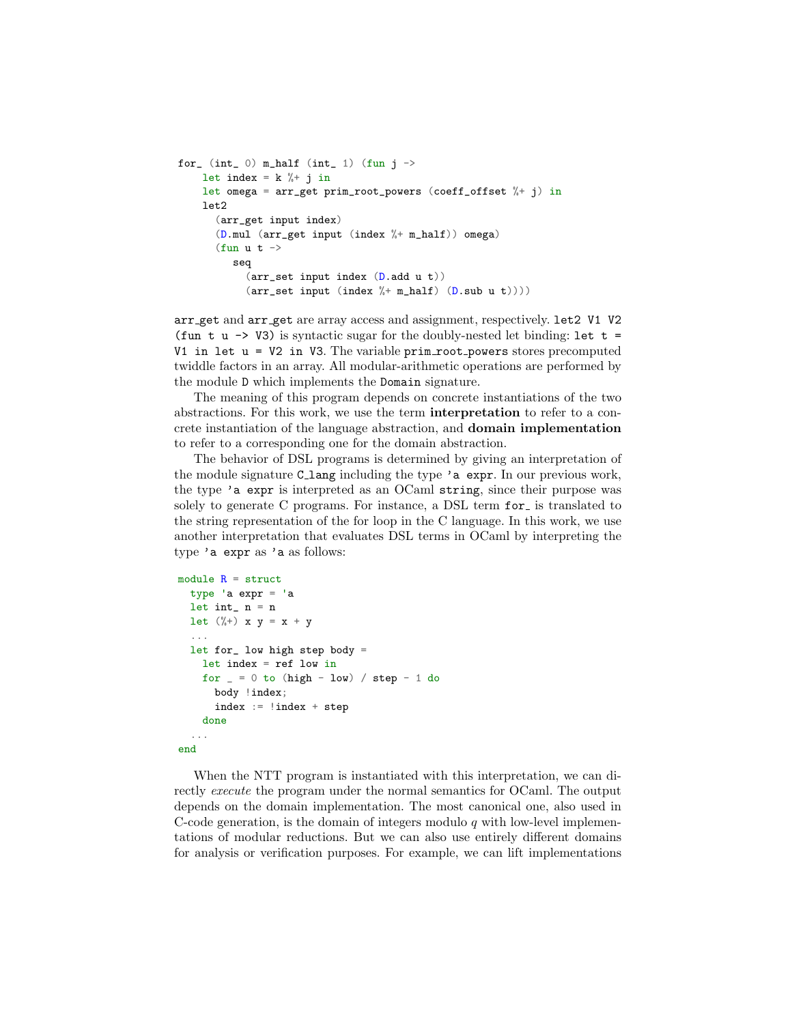```
for_ (int_ 0) m_half (int_ 1) (fun j ->
    let index = k \frac{9}{7} j in
    let omega = arr\_get prim_root_powers (coeff_offset \frac{9}{6}+ j) in
    let2
       (arr_get input index)
       (D.mul (arr_get input (index %+ m_half)) omega)
       (fun u t \rightarrowseq
              (\text{arr_set input index } (D.add u t))(\texttt{arr\_set input} (\texttt{index \%+ m\_half}) (\texttt{D.sub u t})))
```
arr get and arr get are array access and assignment, respectively. let2 V1 V2 (fun t u  $\rightarrow$  V3) is syntactic sugar for the doubly-nested let binding: let t = V1 in let  $u = V2$  in V3. The variable prim\_root\_powers stores precomputed twiddle factors in an array. All modular-arithmetic operations are performed by the module D which implements the Domain signature.

The meaning of this program depends on concrete instantiations of the two abstractions. For this work, we use the term interpretation to refer to a concrete instantiation of the language abstraction, and domain implementation to refer to a corresponding one for the domain abstraction.

The behavior of DSL programs is determined by giving an interpretation of the module signature C<sub>lang</sub> including the type 'a expr. In our previous work, the type 'a expr is interpreted as an OCaml string, since their purpose was solely to generate C programs. For instance, a DSL term for is translated to the string representation of the for loop in the C language. In this work, we use another interpretation that evaluates DSL terms in OCaml by interpreting the type 'a expr as 'a as follows:

```
module R = struct
  type 'a expr = 'a
  let int_n = nlet (\frac{9}{6}+) x y = x + y
  ...
  let for_ low high step body =
    let index = ref low in
    for = 0 to (high - low) / step - 1 do
      body !index;
      index := \frac{1}{2}index + stepdone
  ...
end
```
When the NTT program is instantiated with this interpretation, we can directly execute the program under the normal semantics for OCaml. The output depends on the domain implementation. The most canonical one, also used in C-code generation, is the domain of integers modulo q with low-level implementations of modular reductions. But we can also use entirely different domains for analysis or verification purposes. For example, we can lift implementations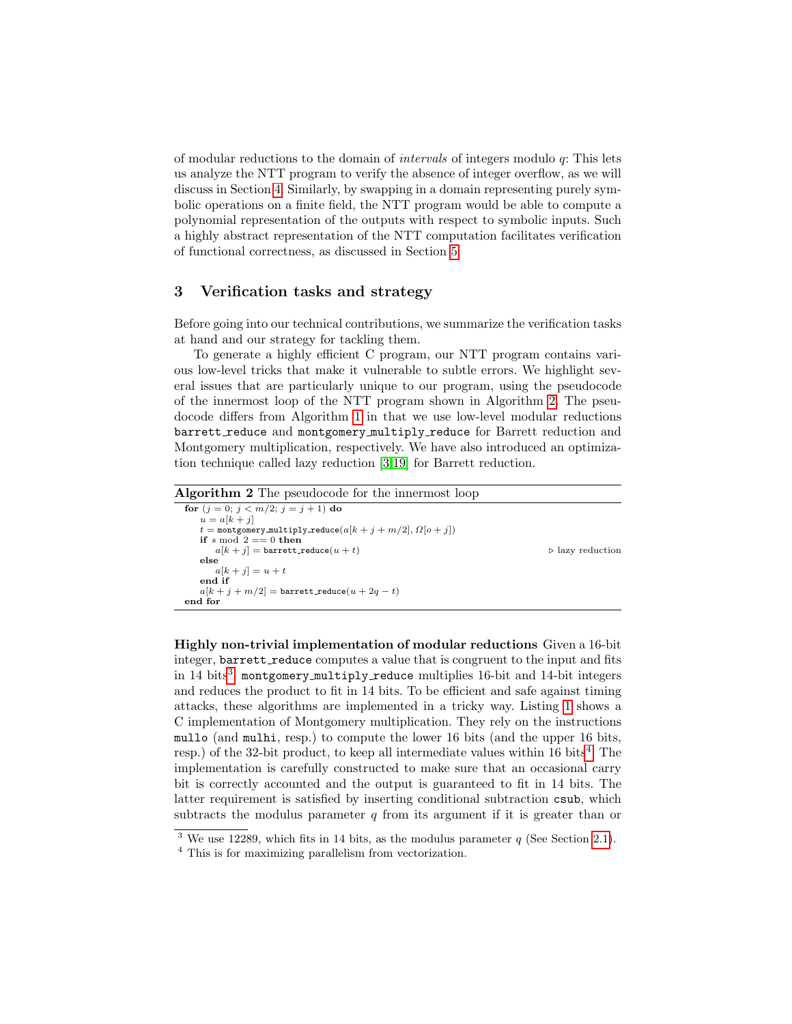of modular reductions to the domain of *intervals* of integers modulo  $q$ : This lets us analyze the NTT program to verify the absence of integer overflow, as we will discuss in Section [4.](#page-7-1) Similarly, by swapping in a domain representing purely symbolic operations on a finite field, the NTT program would be able to compute a polynomial representation of the outputs with respect to symbolic inputs. Such a highly abstract representation of the NTT computation facilitates verification of functional correctness, as discussed in Section [5.](#page-11-0)

## <span id="page-5-0"></span>3 Verification tasks and strategy

Before going into our technical contributions, we summarize the verification tasks at hand and our strategy for tackling them.

To generate a highly efficient C program, our NTT program contains various low-level tricks that make it vulnerable to subtle errors. We highlight several issues that are particularly unique to our program, using the pseudocode of the innermost loop of the NTT program shown in Algorithm [2.](#page-5-1) The pseudocode differs from Algorithm [1](#page-2-1) in that we use low-level modular reductions barrett\_reduce and montgomery\_multiply\_reduce for Barrett reduction and Montgomery multiplication, respectively. We have also introduced an optimization technique called lazy reduction [\[3,](#page-16-2)[19\]](#page-17-8) for Barrett reduction.

### Algorithm 2 The pseudocode for the innermost loop

```
for (j = 0; j < m/2; j = j + 1) do
  u = a[k + j]t =montgomery_multiply_reduce(a[k + j + m/2], \Omega[o + j])if s mod 2 == 0 then
     a[k + j] = \text{barrett\_reduce}(u + t) . \triangleright lazy reduction
   else
     a[k + j] = u + tend if
  a[k + j + m/2] = barrett_reduce(u + 2q - t)end for
```
<span id="page-5-4"></span>Highly non-trivial implementation of modular reductions Given a 16-bit integer, barrett\_reduce computes a value that is congruent to the input and fits in 14 bits<sup>[3](#page-5-2)</sup>. montgomery\_multiply\_reduce multiplies 16-bit and 14-bit integers and reduces the product to fit in 14 bits. To be efficient and safe against timing attacks, these algorithms are implemented in a tricky way. Listing [1](#page-6-0) shows a C implementation of Montgomery multiplication. They rely on the instructions mullo (and mulhi, resp.) to compute the lower 16 bits (and the upper 16 bits, resp.) of the 32-bit product, to keep all intermediate values within  $16 \text{ bits}^4$  $16 \text{ bits}^4$ . The implementation is carefully constructed to make sure that an occasional carry bit is correctly accounted and the output is guaranteed to fit in 14 bits. The latter requirement is satisfied by inserting conditional subtraction csub, which subtracts the modulus parameter q from its argument if it is greater than or

<span id="page-5-2"></span><sup>&</sup>lt;sup>3</sup> We use 12289, which fits in 14 bits, as the modulus parameter  $q$  (See Section [2.1\)](#page-2-2).

<span id="page-5-3"></span><sup>4</sup> This is for maximizing parallelism from vectorization.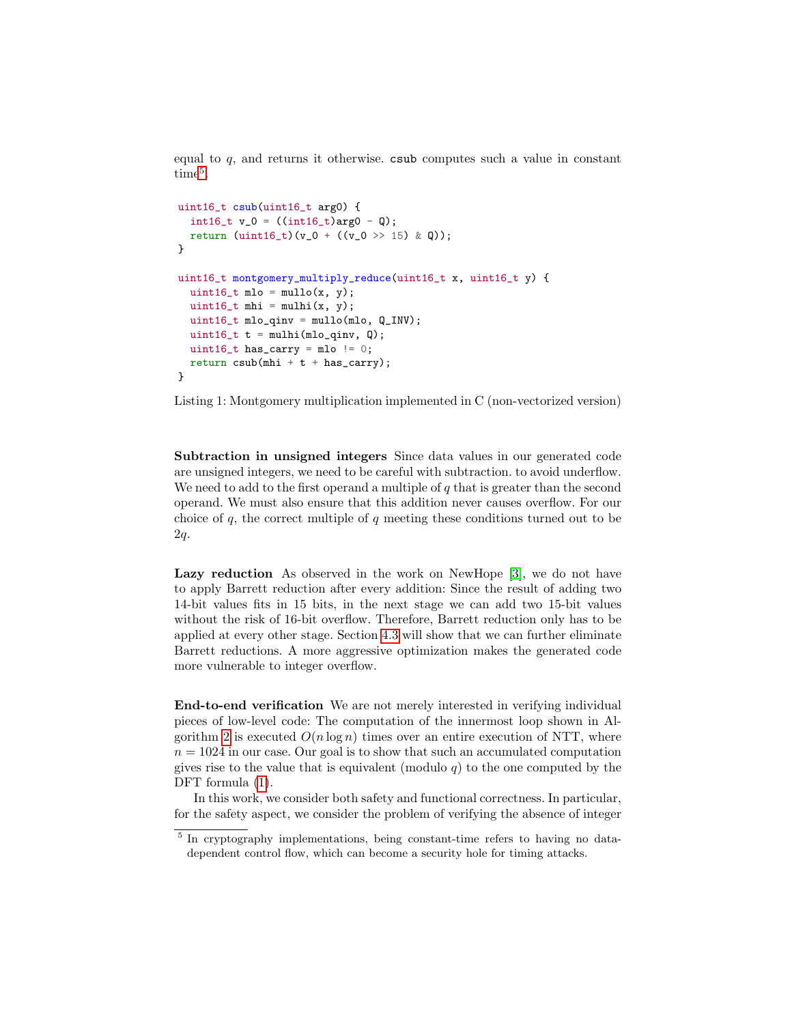equal to  $q$ , and returns it otherwise. csub computes such a value in constant time<sup>[5](#page-6-1)</sup>.

```
uint16_t csub(uint16_t arg0) {
  int16_t v_0 = ((int16_t)arg0 - Q);return (uint16_t)(v_0 + ((v_0 \gg 15) \& Q));}
uint16_t montgomery_multiply_reduce(uint16_t x, uint16_t y) {
  uint16_t mlo = mullo(x, y);
  uint16_t mhi = mulhi(x, y);
  uint16_t mlo_qinv = mullo(mlo, Q_INV);
  uint16_tt = mulhi(mlo_qinv, Q);
  uint16_t has_carry = mlo != 0;
  return csub(mhi + t + has_carry);}
```
<span id="page-6-0"></span>Listing 1: Montgomery multiplication implemented in C (non-vectorized version)

Subtraction in unsigned integers Since data values in our generated code are unsigned integers, we need to be careful with subtraction. to avoid underflow. We need to add to the first operand a multiple of  $q$  that is greater than the second operand. We must also ensure that this addition never causes overflow. For our choice of  $q$ , the correct multiple of  $q$  meeting these conditions turned out to be 2q.

<span id="page-6-2"></span>Lazy reduction As observed in the work on NewHope [\[3\]](#page-16-2), we do not have to apply Barrett reduction after every addition: Since the result of adding two 14-bit values fits in 15 bits, in the next stage we can add two 15-bit values without the risk of 16-bit overflow. Therefore, Barrett reduction only has to be applied at every other stage. Section [4.3](#page-9-0) will show that we can further eliminate Barrett reductions. A more aggressive optimization makes the generated code more vulnerable to integer overflow.

End-to-end verification We are not merely interested in verifying individual pieces of low-level code: The computation of the innermost loop shown in Al-gorithm [2](#page-5-1) is executed  $O(n \log n)$  times over an entire execution of NTT, where  $n = 1024$  in our case. Our goal is to show that such an accumulated computation gives rise to the value that is equivalent (modulo  $q$ ) to the one computed by the DFT formula [\(1\)](#page-2-3).

In this work, we consider both safety and functional correctness. In particular, for the safety aspect, we consider the problem of verifying the absence of integer

<span id="page-6-1"></span><sup>&</sup>lt;sup>5</sup> In cryptography implementations, being constant-time refers to having no datadependent control flow, which can become a security hole for timing attacks.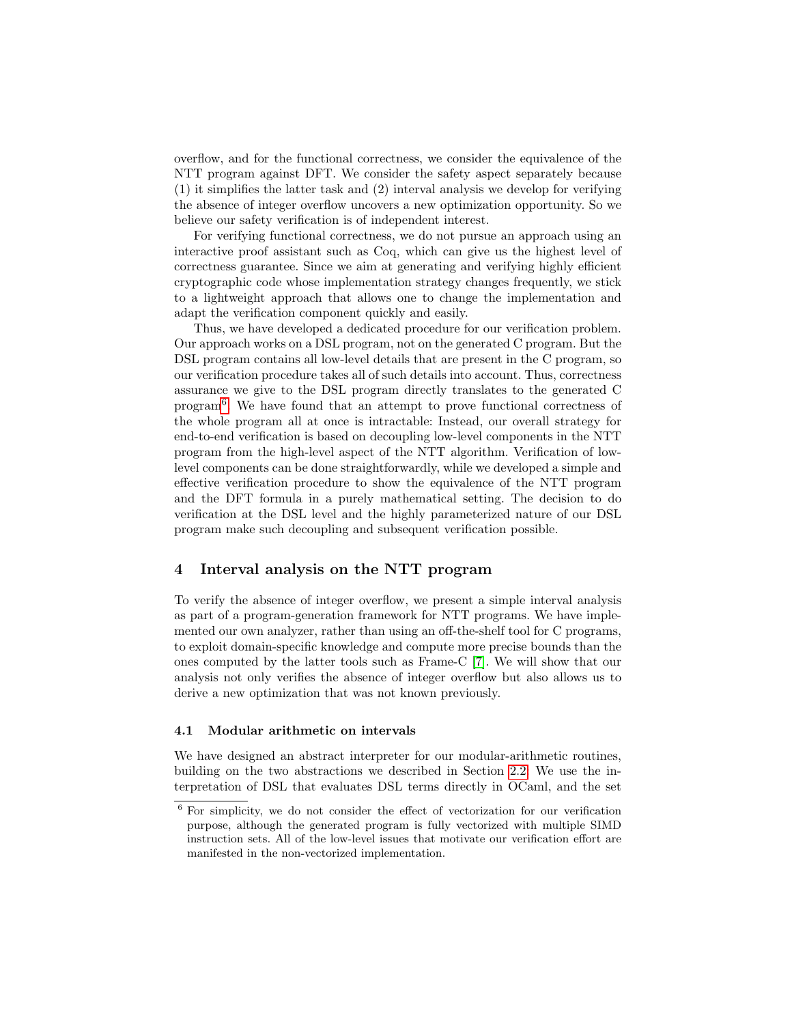overflow, and for the functional correctness, we consider the equivalence of the NTT program against DFT. We consider the safety aspect separately because (1) it simplifies the latter task and (2) interval analysis we develop for verifying the absence of integer overflow uncovers a new optimization opportunity. So we believe our safety verification is of independent interest.

For verifying functional correctness, we do not pursue an approach using an interactive proof assistant such as Coq, which can give us the highest level of correctness guarantee. Since we aim at generating and verifying highly efficient cryptographic code whose implementation strategy changes frequently, we stick to a lightweight approach that allows one to change the implementation and adapt the verification component quickly and easily.

Thus, we have developed a dedicated procedure for our verification problem. Our approach works on a DSL program, not on the generated C program. But the DSL program contains all low-level details that are present in the C program, so our verification procedure takes all of such details into account. Thus, correctness assurance we give to the DSL program directly translates to the generated C program[6](#page-7-2) . We have found that an attempt to prove functional correctness of the whole program all at once is intractable: Instead, our overall strategy for end-to-end verification is based on decoupling low-level components in the NTT program from the high-level aspect of the NTT algorithm. Verification of lowlevel components can be done straightforwardly, while we developed a simple and effective verification procedure to show the equivalence of the NTT program and the DFT formula in a purely mathematical setting. The decision to do verification at the DSL level and the highly parameterized nature of our DSL program make such decoupling and subsequent verification possible.

## <span id="page-7-1"></span>4 Interval analysis on the NTT program

To verify the absence of integer overflow, we present a simple interval analysis as part of a program-generation framework for NTT programs. We have implemented our own analyzer, rather than using an off-the-shelf tool for C programs, to exploit domain-specific knowledge and compute more precise bounds than the ones computed by the latter tools such as Frame-C [\[7\]](#page-16-4). We will show that our analysis not only verifies the absence of integer overflow but also allows us to derive a new optimization that was not known previously.

### <span id="page-7-0"></span>4.1 Modular arithmetic on intervals

We have designed an abstract interpreter for our modular-arithmetic routines, building on the two abstractions we described in Section [2.2:](#page-3-1) We use the interpretation of DSL that evaluates DSL terms directly in OCaml, and the set

<span id="page-7-2"></span><sup>6</sup> For simplicity, we do not consider the effect of vectorization for our verification purpose, although the generated program is fully vectorized with multiple SIMD instruction sets. All of the low-level issues that motivate our verification effort are manifested in the non-vectorized implementation.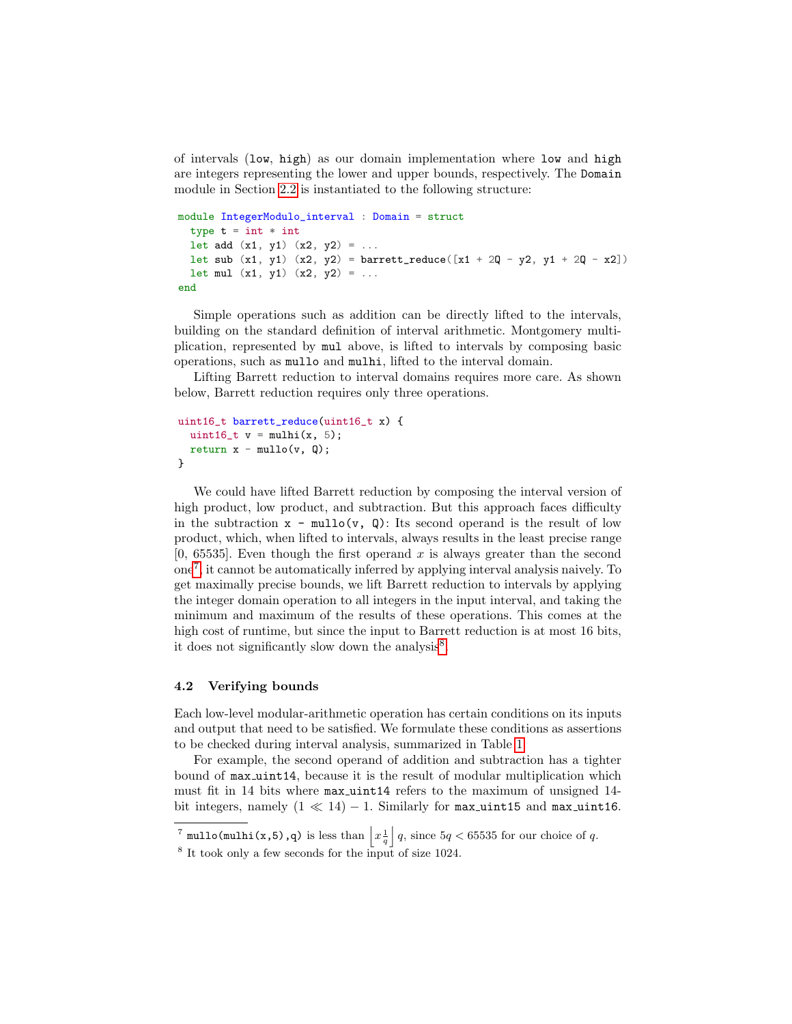of intervals (low, high) as our domain implementation where low and high are integers representing the lower and upper bounds, respectively. The Domain module in Section [2.2](#page-3-1) is instantiated to the following structure:

```
module IntegerModulo_interval : Domain = struct
  type t = int * intlet add (x1, y1) (x2, y2) = ...let sub (x1, y1) (x2, y2) = barrett_reduce([x1 + 2Q - y2, y1 + 2Q - x2])
  let mul (x1, y1) (x2, y2) = ...end
```
Simple operations such as addition can be directly lifted to the intervals, building on the standard definition of interval arithmetic. Montgomery multiplication, represented by mul above, is lifted to intervals by composing basic operations, such as mullo and mulhi, lifted to the interval domain.

Lifting Barrett reduction to interval domains requires more care. As shown below, Barrett reduction requires only three operations.

```
uint16_t barrett_reduce(uint16_t x) {
  uint16_t v = \text{multi}(x, 5);
  return x - \text{mullo}(v, Q);
}
```
We could have lifted Barrett reduction by composing the interval version of high product, low product, and subtraction. But this approach faces difficulty in the subtraction  $x - \text{mullo}(v, Q)$ : Its second operand is the result of low product, which, when lifted to intervals, always results in the least precise range [0, 65535]. Even though the first operand x is always greater than the second one[7](#page-8-1) , it cannot be automatically inferred by applying interval analysis naively. To get maximally precise bounds, we lift Barrett reduction to intervals by applying the integer domain operation to all integers in the input interval, and taking the minimum and maximum of the results of these operations. This comes at the high cost of runtime, but since the input to Barrett reduction is at most 16 bits, it does not significantly slow down the analysis<sup>[8](#page-8-2)</sup>.

#### <span id="page-8-0"></span>4.2 Verifying bounds

Each low-level modular-arithmetic operation has certain conditions on its inputs and output that need to be satisfied. We formulate these conditions as assertions to be checked during interval analysis, summarized in Table [1.](#page-9-1)

For example, the second operand of addition and subtraction has a tighter bound of max uint14, because it is the result of modular multiplication which must fit in 14 bits where max uint14 refers to the maximum of unsigned 14 bit integers, namely  $(1 \ll 14) - 1$ . Similarly for max uint15 and max uint16.

<span id="page-8-1"></span><sup>&</sup>lt;sup>7</sup> mullo(mulhi(x,5),q) is less than  $\left|x\frac{1}{q}\right|q$ , since  $5q < 65535$  for our choice of q.

<span id="page-8-2"></span><sup>8</sup> It took only a few seconds for the input of size 1024.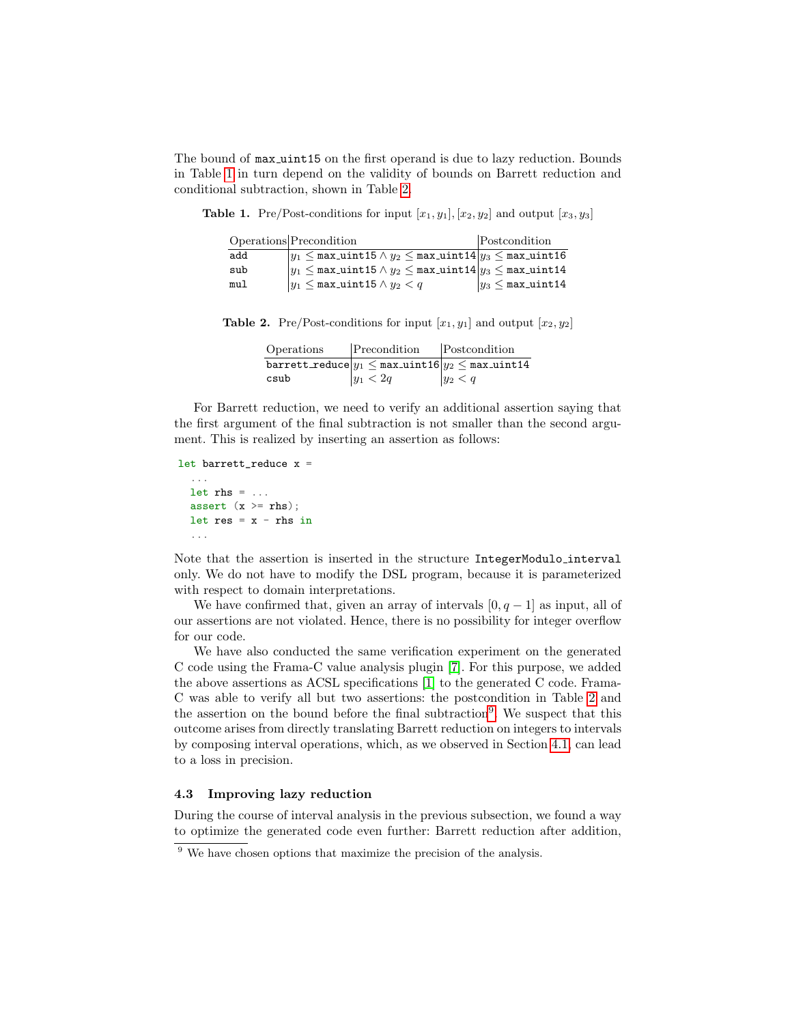The bound of max uint15 on the first operand is due to lazy reduction. Bounds in Table [1](#page-9-1) in turn depend on the validity of bounds on Barrett reduction and conditional subtraction, shown in Table [2.](#page-9-2)

<span id="page-9-1"></span>**Table 1.** Pre/Post-conditions for input  $[x_1, y_1], [x_2, y_2]$  and output  $[x_3, y_3]$ 

|     | Operations Precondition                                                     | Postcondition          |
|-----|-----------------------------------------------------------------------------|------------------------|
| add | $ y_1 \leq$ max_uint15 $\land$ $y_2 \leq$ max_uint14 $ y_3 \leq$ max_uint16 |                        |
| sub | $ y_1 \leq$ max_uint15 $\land$ $y_2 \leq$ max_uint14 $ y_3 \leq$ max_uint14 |                        |
| mul | $ y_1  \leq$ max_uint15 $\wedge y_2 < q$                                    | $ y_3 \leq$ max_uint14 |

<span id="page-9-2"></span>**Table 2.** Pre/Post-conditions for input  $[x_1, y_1]$  and output  $[x_2, y_2]$ 

| Operations | Precondition                                                | Postcondition |
|------------|-------------------------------------------------------------|---------------|
|            | $barrett\_reduce y_1 \leq max\_uint16 y_2 \leq max\_uint14$ |               |
| csub       | $ y_1  < 2q$                                                | $ y_2  < q$   |

For Barrett reduction, we need to verify an additional assertion saying that the first argument of the final subtraction is not smaller than the second argument. This is realized by inserting an assertion as follows:

```
let barrett_reduce x =
  ...
  let rhs = ...assert (x \geq rhs);
  let res = x -rhs in
  ...
```
Note that the assertion is inserted in the structure IntegerModulo interval only. We do not have to modify the DSL program, because it is parameterized with respect to domain interpretations.

We have confirmed that, given an array of intervals  $[0, q - 1]$  as input, all of our assertions are not violated. Hence, there is no possibility for integer overflow for our code.

We have also conducted the same verification experiment on the generated C code using the Frama-C value analysis plugin [\[7\]](#page-16-4). For this purpose, we added the above assertions as ACSL specifications [\[1\]](#page-16-7) to the generated C code. Frama-C was able to verify all but two assertions: the postcondition in Table [2](#page-9-2) and the assertion on the bound before the final subtraction[9](#page-9-3) . We suspect that this outcome arises from directly translating Barrett reduction on integers to intervals by composing interval operations, which, as we observed in Section [4.1,](#page-7-0) can lead to a loss in precision.

#### <span id="page-9-0"></span>4.3 Improving lazy reduction

During the course of interval analysis in the previous subsection, we found a way to optimize the generated code even further: Barrett reduction after addition,

<span id="page-9-3"></span><sup>&</sup>lt;sup>9</sup> We have chosen options that maximize the precision of the analysis.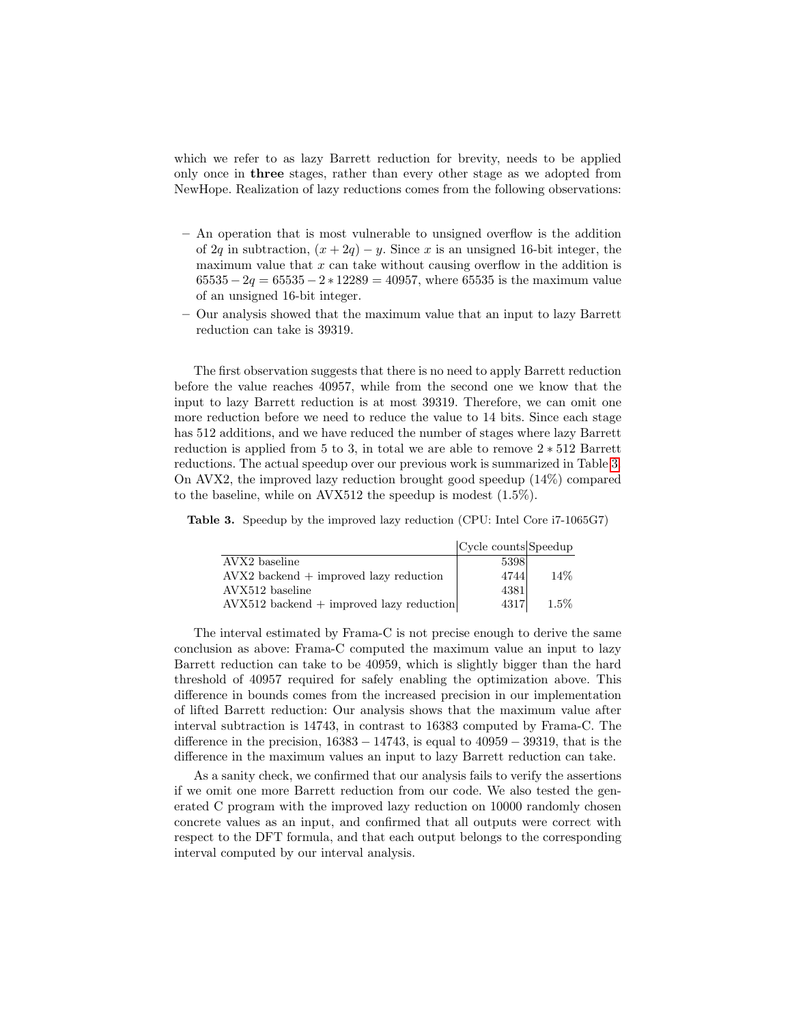which we refer to as lazy Barrett reduction for brevity, needs to be applied only once in three stages, rather than every other stage as we adopted from NewHope. Realization of lazy reductions comes from the following observations:

- An operation that is most vulnerable to unsigned overflow is the addition of 2q in subtraction,  $(x+2q) - y$ . Since x is an unsigned 16-bit integer, the maximum value that  $x$  can take without causing overflow in the addition is  $65535 - 2q = 65535 - 2 * 12289 = 40957$ , where 65535 is the maximum value of an unsigned 16-bit integer.
- Our analysis showed that the maximum value that an input to lazy Barrett reduction can take is 39319.

The first observation suggests that there is no need to apply Barrett reduction before the value reaches 40957, while from the second one we know that the input to lazy Barrett reduction is at most 39319. Therefore, we can omit one more reduction before we need to reduce the value to 14 bits. Since each stage has 512 additions, and we have reduced the number of stages where lazy Barrett reduction is applied from 5 to 3, in total we are able to remove 2 ∗ 512 Barrett reductions. The actual speedup over our previous work is summarized in Table [3.](#page-10-0) On AVX2, the improved lazy reduction brought good speedup (14%) compared to the baseline, while on AVX512 the speedup is modest (1.5%).

<span id="page-10-0"></span>Table 3. Speedup by the improved lazy reduction (CPU: Intel Core i7-1065G7)

|                                                   | $Cycle$ counts Speedup |         |
|---------------------------------------------------|------------------------|---------|
| AVX2 baseline                                     | 5398                   |         |
| $A\text{V}X2$ backend $+$ improved lazy reduction | 4744                   | 14%     |
| AVX512 baseline                                   | 4381                   |         |
| $AVX512$ backend $+$ improved lazy reduction      | 4317                   | $1.5\%$ |

The interval estimated by Frama-C is not precise enough to derive the same conclusion as above: Frama-C computed the maximum value an input to lazy Barrett reduction can take to be 40959, which is slightly bigger than the hard threshold of 40957 required for safely enabling the optimization above. This difference in bounds comes from the increased precision in our implementation of lifted Barrett reduction: Our analysis shows that the maximum value after interval subtraction is 14743, in contrast to 16383 computed by Frama-C. The difference in the precision,  $16383 - 14743$ , is equal to  $40959 - 39319$ , that is the difference in the maximum values an input to lazy Barrett reduction can take.

As a sanity check, we confirmed that our analysis fails to verify the assertions if we omit one more Barrett reduction from our code. We also tested the generated C program with the improved lazy reduction on 10000 randomly chosen concrete values as an input, and confirmed that all outputs were correct with respect to the DFT formula, and that each output belongs to the corresponding interval computed by our interval analysis.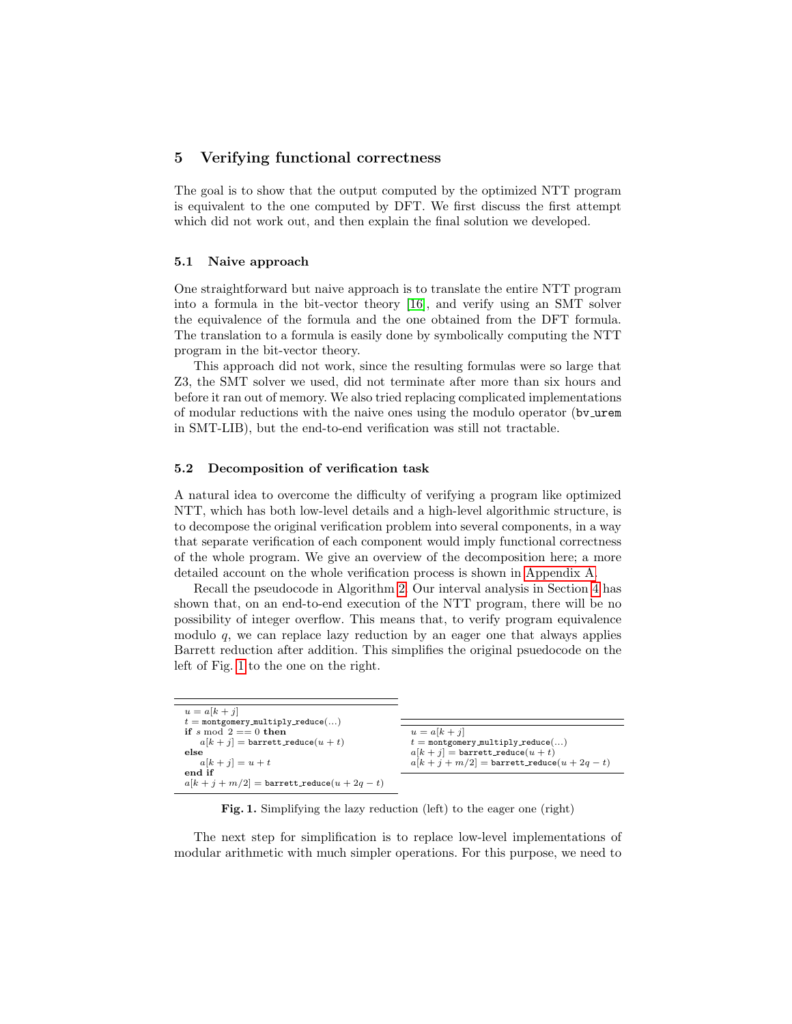## <span id="page-11-0"></span>5 Verifying functional correctness

The goal is to show that the output computed by the optimized NTT program is equivalent to the one computed by DFT. We first discuss the first attempt which did not work out, and then explain the final solution we developed.

#### 5.1 Naive approach

One straightforward but naive approach is to translate the entire NTT program into a formula in the bit-vector theory [\[16\]](#page-17-10), and verify using an SMT solver the equivalence of the formula and the one obtained from the DFT formula. The translation to a formula is easily done by symbolically computing the NTT program in the bit-vector theory.

This approach did not work, since the resulting formulas were so large that Z3, the SMT solver we used, did not terminate after more than six hours and before it ran out of memory. We also tried replacing complicated implementations of modular reductions with the naive ones using the modulo operator (bv urem in SMT-LIB), but the end-to-end verification was still not tractable.

#### 5.2 Decomposition of verification task

A natural idea to overcome the difficulty of verifying a program like optimized NTT, which has both low-level details and a high-level algorithmic structure, is to decompose the original verification problem into several components, in a way that separate verification of each component would imply functional correctness of the whole program. We give an overview of the decomposition here; a more detailed account on the whole verification process is shown in [Appendix A.](#page-17-11)

Recall the pseudocode in Algorithm [2.](#page-5-1) Our interval analysis in Section [4](#page-7-1) has shown that, on an end-to-end execution of the NTT program, there will be no possibility of integer overflow. This means that, to verify program equivalence modulo  $q$ , we can replace lazy reduction by an eager one that always applies Barrett reduction after addition. This simplifies the original psuedocode on the left of Fig. [1](#page-11-1) to the one on the right.

| $u = a[k + i]$                                    |                                                  |
|---------------------------------------------------|--------------------------------------------------|
| $t =$ montgomery_multiply_reduce()                |                                                  |
| if s mod $2 == 0$ then                            | $u = a[k + j]$                                   |
| $a[k + j] =$ barrett_reduce $(u + t)$             | $t =$ montgomery_multiply_reduce()               |
| else                                              | $a[k + j] =$ barrett_reduce( $u + t$ )           |
| $a[k + j] = u + t$                                | $a[k + j + m/2] =$ barrett_reduce $(u + 2q - t)$ |
| end if                                            |                                                  |
| $a[k + j + m/2] =$ barrett_reduce( $u + 2q - t$ ) |                                                  |

<span id="page-11-1"></span>Fig. 1. Simplifying the lazy reduction (left) to the eager one (right)

The next step for simplification is to replace low-level implementations of modular arithmetic with much simpler operations. For this purpose, we need to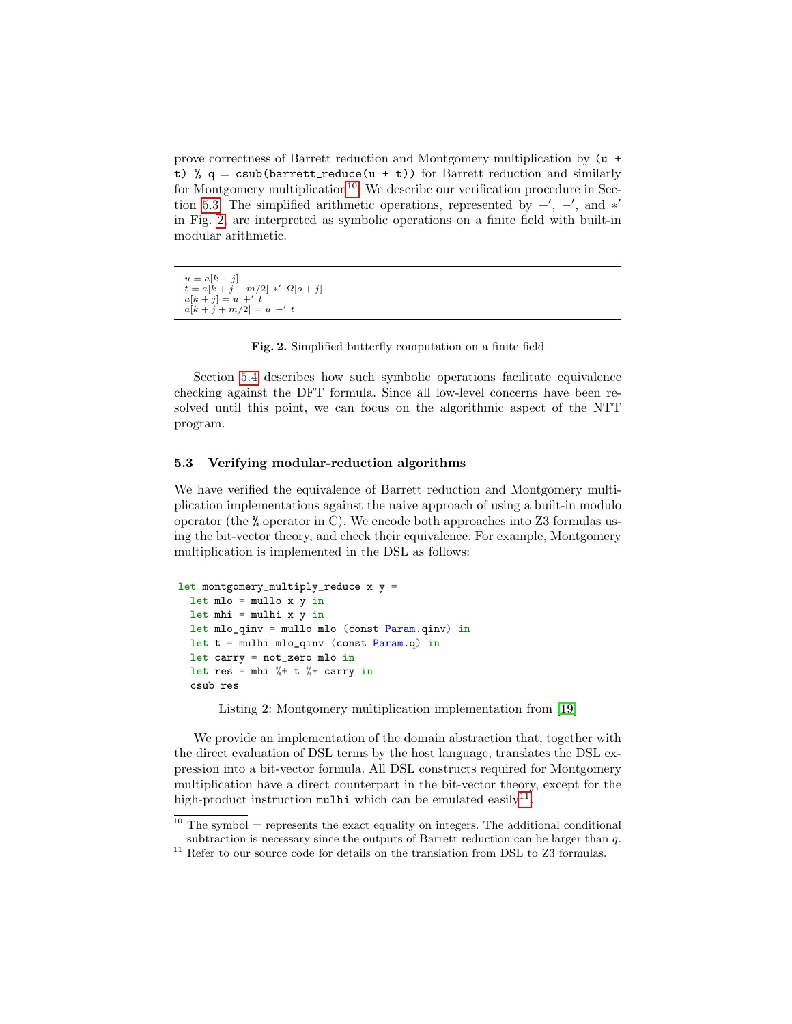prove correctness of Barrett reduction and Montgomery multiplication by (u + t) %  $q = \text{csub}(\text{barrett\_reduce}(u + t))$  for Barrett reduction and similarly for Montgomery multiplication<sup>[10](#page-12-0)</sup>. We describe our verification procedure in Sec-tion [5.3.](#page-12-1) The simplified arithmetic operations, represented by  $+$ ',  $-$ ', and ∗' in Fig. [2,](#page-12-2) are interpreted as symbolic operations on a finite field with built-in modular arithmetic.

| $u = a[k + j]$                        |  |
|---------------------------------------|--|
| $t = a[k + j + m/2] *' \Omega[o + j]$ |  |
| $a[k + j] = u +' t$                   |  |
| $a[k+j+m/2] = u -' t$                 |  |

Fig. 2. Simplified butterfly computation on a finite field

<span id="page-12-2"></span>Section [5.4](#page-13-0) describes how such symbolic operations facilitate equivalence checking against the DFT formula. Since all low-level concerns have been resolved until this point, we can focus on the algorithmic aspect of the NTT program.

### <span id="page-12-1"></span>5.3 Verifying modular-reduction algorithms

We have verified the equivalence of Barrett reduction and Montgomery multiplication implementations against the naive approach of using a built-in modulo operator (the % operator in C). We encode both approaches into Z3 formulas using the bit-vector theory, and check their equivalence. For example, Montgomery multiplication is implemented in the DSL as follows:

```
let montgomery_multiply_reduce x y =
  let mlo = mullo x \ y in
  let mhi = mulhi x y in
  let mlo_qinv = mullo mlo (const Param.qinv) in
  let t = \text{multi } \text{mlo}qinv (const Param.q) in
  let carry = not_zero mlo in
  let res = mhi \frac{9}{6}+ t \frac{9}{6}+ carry in
  csub res
```
Listing 2: Montgomery multiplication implementation from [\[19\]](#page-17-8)

<span id="page-12-4"></span>We provide an implementation of the domain abstraction that, together with the direct evaluation of DSL terms by the host language, translates the DSL expression into a bit-vector formula. All DSL constructs required for Montgomery multiplication have a direct counterpart in the bit-vector theory, except for the high-product instruction mulhi which can be emulated easily<sup>[11](#page-12-3)</sup>.

<span id="page-12-0"></span> $10$  The symbol = represents the exact equality on integers. The additional conditional subtraction is necessary since the outputs of Barrett reduction can be larger than q.

<span id="page-12-3"></span> $^{11}$  Refer to our source code for details on the translation from DSL to Z3 formulas.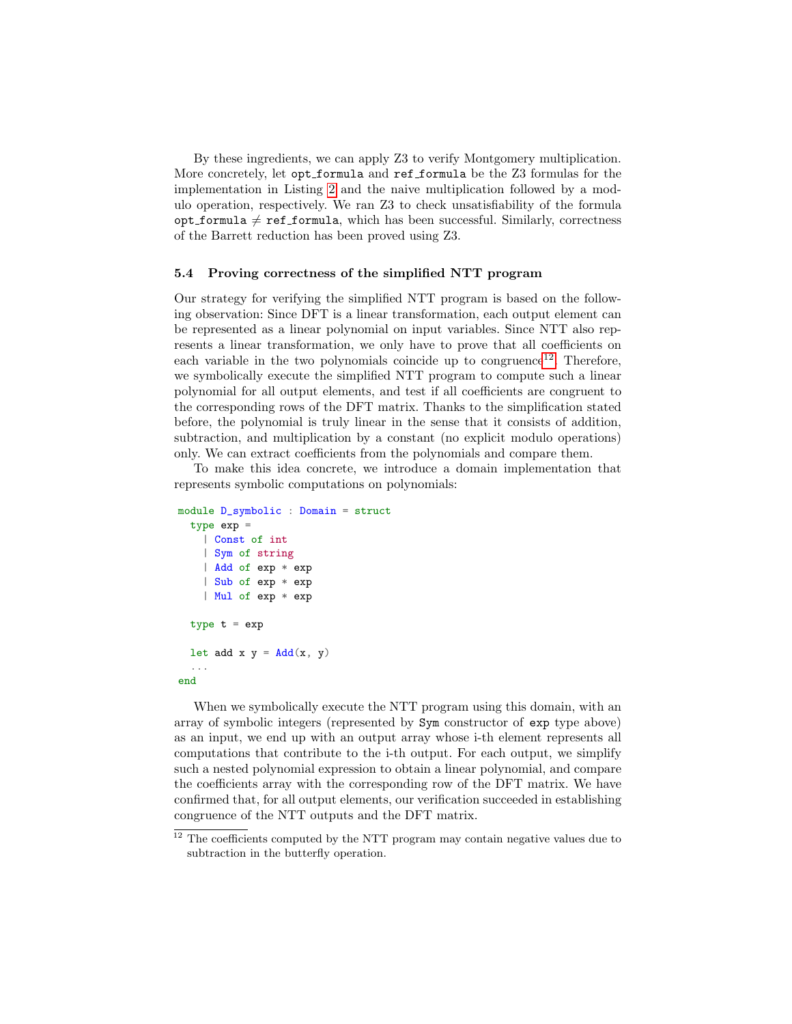By these ingredients, we can apply Z3 to verify Montgomery multiplication. More concretely, let opt formula and ref formula be the Z3 formulas for the implementation in Listing [2](#page-12-4) and the naive multiplication followed by a modulo operation, respectively. We ran Z3 to check unsatisfiability of the formula opt formula  $\neq$  ref formula, which has been successful. Similarly, correctness of the Barrett reduction has been proved using Z3.

#### <span id="page-13-0"></span>5.4 Proving correctness of the simplified NTT program

Our strategy for verifying the simplified NTT program is based on the following observation: Since DFT is a linear transformation, each output element can be represented as a linear polynomial on input variables. Since NTT also represents a linear transformation, we only have to prove that all coefficients on each variable in the two polynomials coincide up to congruence<sup>[12](#page-13-1)</sup>. Therefore, we symbolically execute the simplified NTT program to compute such a linear polynomial for all output elements, and test if all coefficients are congruent to the corresponding rows of the DFT matrix. Thanks to the simplification stated before, the polynomial is truly linear in the sense that it consists of addition, subtraction, and multiplication by a constant (no explicit modulo operations) only. We can extract coefficients from the polynomials and compare them.

To make this idea concrete, we introduce a domain implementation that represents symbolic computations on polynomials:

```
module D_symbolic : Domain = struct
  type exp =
    | Const of int
    | Sym of string
    | Add of exp * exp
    | Sub of exp * exp
    | Mul of exp * exp
  type t = explet add x \ y = Add(x, y)...
end
```
When we symbolically execute the NTT program using this domain, with an array of symbolic integers (represented by Sym constructor of exp type above) as an input, we end up with an output array whose i-th element represents all computations that contribute to the i-th output. For each output, we simplify such a nested polynomial expression to obtain a linear polynomial, and compare the coefficients array with the corresponding row of the DFT matrix. We have confirmed that, for all output elements, our verification succeeded in establishing congruence of the NTT outputs and the DFT matrix.

<span id="page-13-1"></span> $12$  The coefficients computed by the NTT program may contain negative values due to subtraction in the butterfly operation.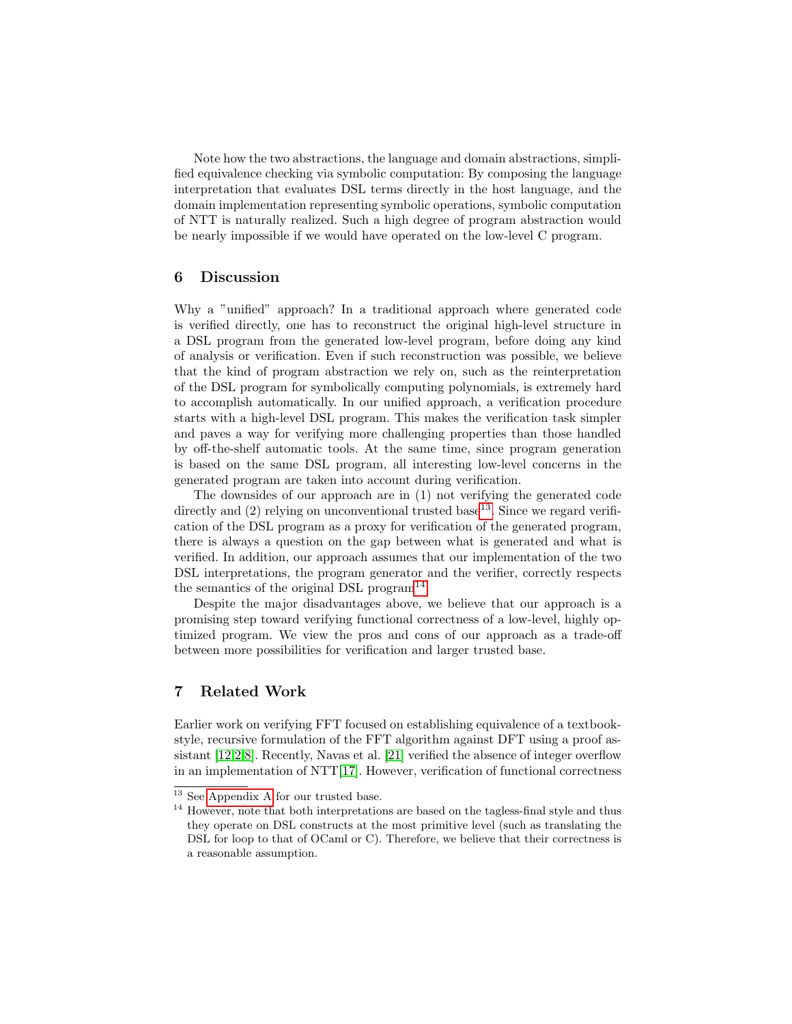Note how the two abstractions, the language and domain abstractions, simplified equivalence checking via symbolic computation: By composing the language interpretation that evaluates DSL terms directly in the host language, and the domain implementation representing symbolic operations, symbolic computation of NTT is naturally realized. Such a high degree of program abstraction would be nearly impossible if we would have operated on the low-level C program.

# <span id="page-14-0"></span>6 Discussion

Why a "unified" approach? In a traditional approach where generated code is verified directly, one has to reconstruct the original high-level structure in a DSL program from the generated low-level program, before doing any kind of analysis or verification. Even if such reconstruction was possible, we believe that the kind of program abstraction we rely on, such as the reinterpretation of the DSL program for symbolically computing polynomials, is extremely hard to accomplish automatically. In our unified approach, a verification procedure starts with a high-level DSL program. This makes the verification task simpler and paves a way for verifying more challenging properties than those handled by off-the-shelf automatic tools. At the same time, since program generation is based on the same DSL program, all interesting low-level concerns in the generated program are taken into account during verification.

The downsides of our approach are in (1) not verifying the generated code directly and  $(2)$  relying on unconventional trusted base<sup>[13](#page-14-2)</sup>. Since we regard verification of the DSL program as a proxy for verification of the generated program, there is always a question on the gap between what is generated and what is verified. In addition, our approach assumes that our implementation of the two DSL interpretations, the program generator and the verifier, correctly respects the semantics of the original DSL program<sup>[14](#page-14-3)</sup>.

Despite the major disadvantages above, we believe that our approach is a promising step toward verifying functional correctness of a low-level, highly optimized program. We view the pros and cons of our approach as a trade-off between more possibilities for verification and larger trusted base.

# <span id="page-14-1"></span>7 Related Work

Earlier work on verifying FFT focused on establishing equivalence of a textbookstyle, recursive formulation of the FFT algorithm against DFT using a proof assistant [\[12,](#page-16-8)[2,](#page-16-9)[8\]](#page-16-10). Recently, Navas et al. [\[21\]](#page-17-12) verified the absence of integer overflow in an implementation of NTT[\[17\]](#page-17-6). However, verification of functional correctness

<span id="page-14-2"></span><sup>&</sup>lt;sup>13</sup> See [Appendix A](#page-17-11) for our trusted base.

<span id="page-14-3"></span> $14$  However, note that both interpretations are based on the tagless-final style and thus they operate on DSL constructs at the most primitive level (such as translating the DSL for loop to that of OCaml or C). Therefore, we believe that their correctness is a reasonable assumption.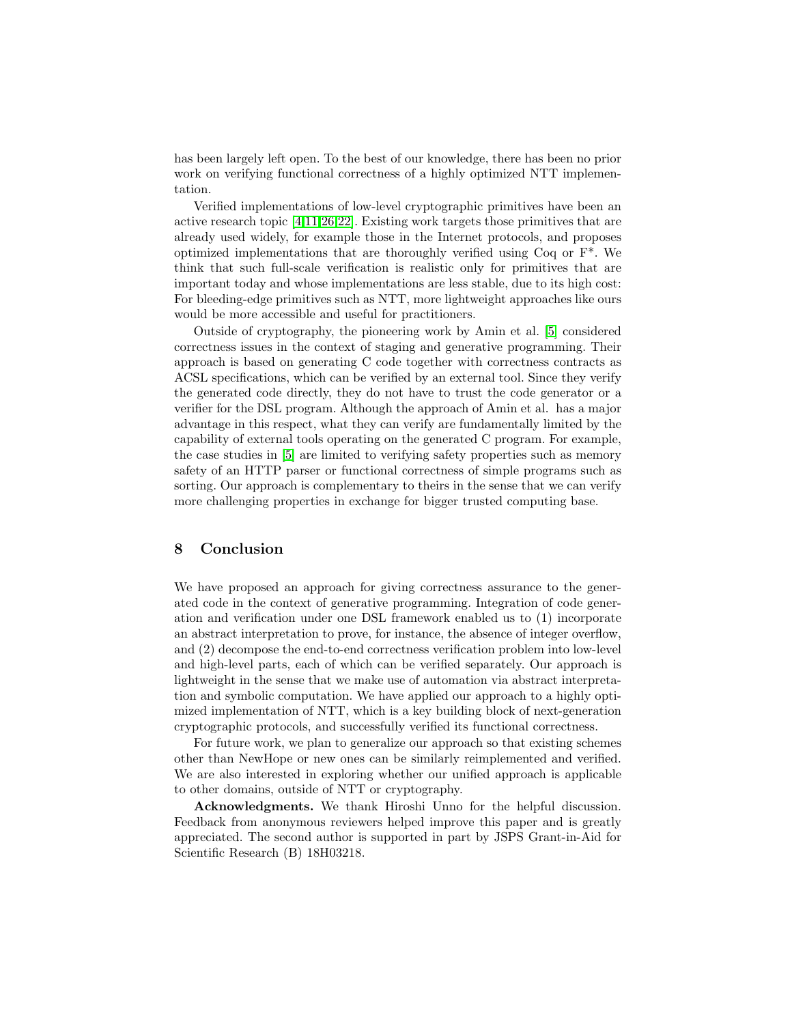has been largely left open. To the best of our knowledge, there has been no prior work on verifying functional correctness of a highly optimized NTT implementation.

Verified implementations of low-level cryptographic primitives have been an active research topic [\[4,](#page-16-11)[11,](#page-16-0)[26,](#page-17-4)[22\]](#page-17-13). Existing work targets those primitives that are already used widely, for example those in the Internet protocols, and proposes optimized implementations that are thoroughly verified using Coq or F\*. We think that such full-scale verification is realistic only for primitives that are important today and whose implementations are less stable, due to its high cost: For bleeding-edge primitives such as NTT, more lightweight approaches like ours would be more accessible and useful for practitioners.

Outside of cryptography, the pioneering work by Amin et al. [\[5\]](#page-16-12) considered correctness issues in the context of staging and generative programming. Their approach is based on generating C code together with correctness contracts as ACSL specifications, which can be verified by an external tool. Since they verify the generated code directly, they do not have to trust the code generator or a verifier for the DSL program. Although the approach of Amin et al. has a major advantage in this respect, what they can verify are fundamentally limited by the capability of external tools operating on the generated C program. For example, the case studies in [\[5\]](#page-16-12) are limited to verifying safety properties such as memory safety of an HTTP parser or functional correctness of simple programs such as sorting. Our approach is complementary to theirs in the sense that we can verify more challenging properties in exchange for bigger trusted computing base.

## <span id="page-15-0"></span>8 Conclusion

We have proposed an approach for giving correctness assurance to the generated code in the context of generative programming. Integration of code generation and verification under one DSL framework enabled us to (1) incorporate an abstract interpretation to prove, for instance, the absence of integer overflow, and (2) decompose the end-to-end correctness verification problem into low-level and high-level parts, each of which can be verified separately. Our approach is lightweight in the sense that we make use of automation via abstract interpretation and symbolic computation. We have applied our approach to a highly optimized implementation of NTT, which is a key building block of next-generation cryptographic protocols, and successfully verified its functional correctness.

For future work, we plan to generalize our approach so that existing schemes other than NewHope or new ones can be similarly reimplemented and verified. We are also interested in exploring whether our unified approach is applicable to other domains, outside of NTT or cryptography.

Acknowledgments. We thank Hiroshi Unno for the helpful discussion. Feedback from anonymous reviewers helped improve this paper and is greatly appreciated. The second author is supported in part by JSPS Grant-in-Aid for Scientific Research (B) 18H03218.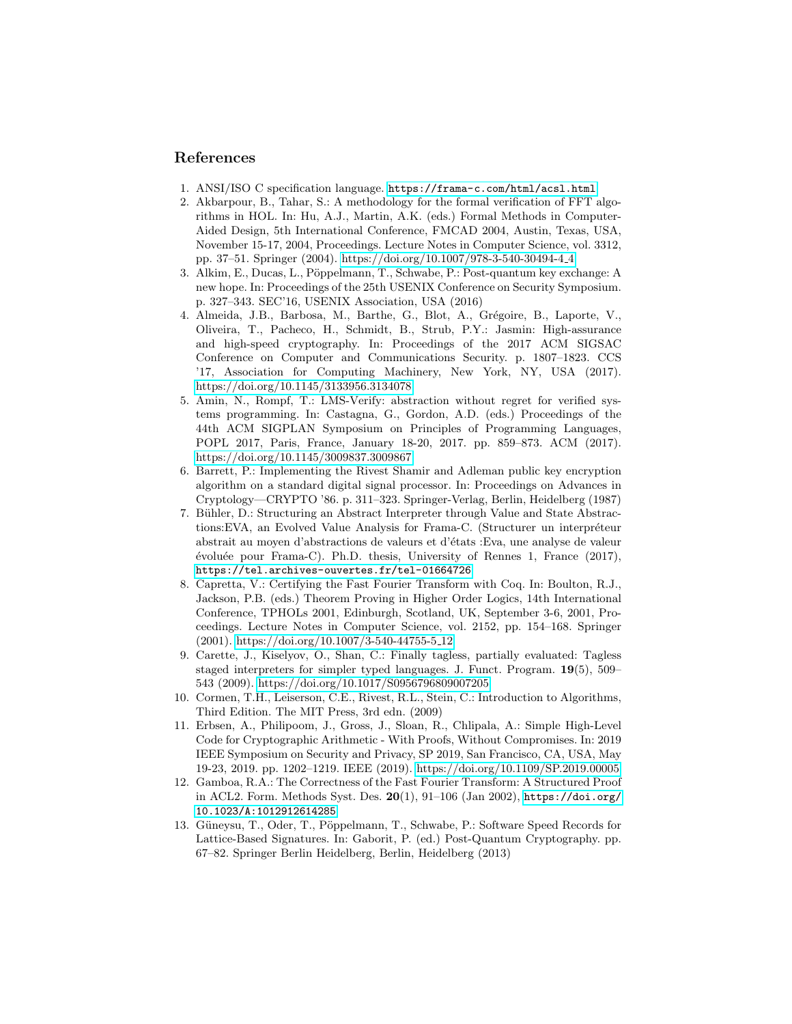## References

- <span id="page-16-7"></span>1. ANSI/ISO C specification language. <https://frama-c.com/html/acsl.html>
- <span id="page-16-9"></span>2. Akbarpour, B., Tahar, S.: A methodology for the formal verification of FFT algorithms in HOL. In: Hu, A.J., Martin, A.K. (eds.) Formal Methods in Computer-Aided Design, 5th International Conference, FMCAD 2004, Austin, Texas, USA, November 15-17, 2004, Proceedings. Lecture Notes in Computer Science, vol. 3312, pp. 37–51. Springer (2004). [https://doi.org/10.1007/978-3-540-30494-4](https://doi.org/10.1007/978-3-540-30494-4_4) 4
- <span id="page-16-2"></span>3. Alkim, E., Ducas, L., Pöppelmann, T., Schwabe, P.: Post-quantum key exchange: A new hope. In: Proceedings of the 25th USENIX Conference on Security Symposium. p. 327–343. SEC'16, USENIX Association, USA (2016)
- <span id="page-16-11"></span>4. Almeida, J.B., Barbosa, M., Barthe, G., Blot, A., Grégoire, B., Laporte, V., Oliveira, T., Pacheco, H., Schmidt, B., Strub, P.Y.: Jasmin: High-assurance and high-speed cryptography. In: Proceedings of the 2017 ACM SIGSAC Conference on Computer and Communications Security. p. 1807–1823. CCS '17, Association for Computing Machinery, New York, NY, USA (2017). <https://doi.org/10.1145/3133956.3134078>
- <span id="page-16-12"></span>5. Amin, N., Rompf, T.: LMS-Verify: abstraction without regret for verified systems programming. In: Castagna, G., Gordon, A.D. (eds.) Proceedings of the 44th ACM SIGPLAN Symposium on Principles of Programming Languages, POPL 2017, Paris, France, January 18-20, 2017. pp. 859–873. ACM (2017). <https://doi.org/10.1145/3009837.3009867>
- <span id="page-16-6"></span>6. Barrett, P.: Implementing the Rivest Shamir and Adleman public key encryption algorithm on a standard digital signal processor. In: Proceedings on Advances in Cryptology—CRYPTO '86. p. 311–323. Springer-Verlag, Berlin, Heidelberg (1987)
- <span id="page-16-4"></span>7. Bühler, D.: Structuring an Abstract Interpreter through Value and State Abstractions: EVA, an Evolved Value Analysis for Frama-C. (Structurer un interpréteur abstrait au moyen d'abstractions de valeurs et d'états : Eva, une analyse de valeur  $\acute{e}$ volu $\acute{e}e$  pour Frama-C). Ph.D. thesis, University of Rennes 1, France (2017), <https://tel.archives-ouvertes.fr/tel-01664726>
- <span id="page-16-10"></span>8. Capretta, V.: Certifying the Fast Fourier Transform with Coq. In: Boulton, R.J., Jackson, P.B. (eds.) Theorem Proving in Higher Order Logics, 14th International Conference, TPHOLs 2001, Edinburgh, Scotland, UK, September 3-6, 2001, Proceedings. Lecture Notes in Computer Science, vol. 2152, pp. 154–168. Springer (2001). [https://doi.org/10.1007/3-540-44755-5](https://doi.org/10.1007/3-540-44755-5_12) 12
- <span id="page-16-3"></span>9. Carette, J., Kiselyov, O., Shan, C.: Finally tagless, partially evaluated: Tagless staged interpreters for simpler typed languages. J. Funct. Program. 19(5), 509– 543 (2009).<https://doi.org/10.1017/S0956796809007205>
- <span id="page-16-5"></span>10. Cormen, T.H., Leiserson, C.E., Rivest, R.L., Stein, C.: Introduction to Algorithms, Third Edition. The MIT Press, 3rd edn. (2009)
- <span id="page-16-0"></span>11. Erbsen, A., Philipoom, J., Gross, J., Sloan, R., Chlipala, A.: Simple High-Level Code for Cryptographic Arithmetic - With Proofs, Without Compromises. In: 2019 IEEE Symposium on Security and Privacy, SP 2019, San Francisco, CA, USA, May 19-23, 2019. pp. 1202–1219. IEEE (2019).<https://doi.org/10.1109/SP.2019.00005>
- <span id="page-16-8"></span>12. Gamboa, R.A.: The Correctness of the Fast Fourier Transform: A Structured Proof in ACL2. Form. Methods Syst. Des. 20(1), 91–106 (Jan 2002), [https://doi.org/](https://doi.org/10.1023/A:1012912614285) [10.1023/A:1012912614285](https://doi.org/10.1023/A:1012912614285)
- <span id="page-16-1"></span>13. Güneysu, T., Oder, T., Pöppelmann, T., Schwabe, P.: Software Speed Records for Lattice-Based Signatures. In: Gaborit, P. (ed.) Post-Quantum Cryptography. pp. 67–82. Springer Berlin Heidelberg, Berlin, Heidelberg (2013)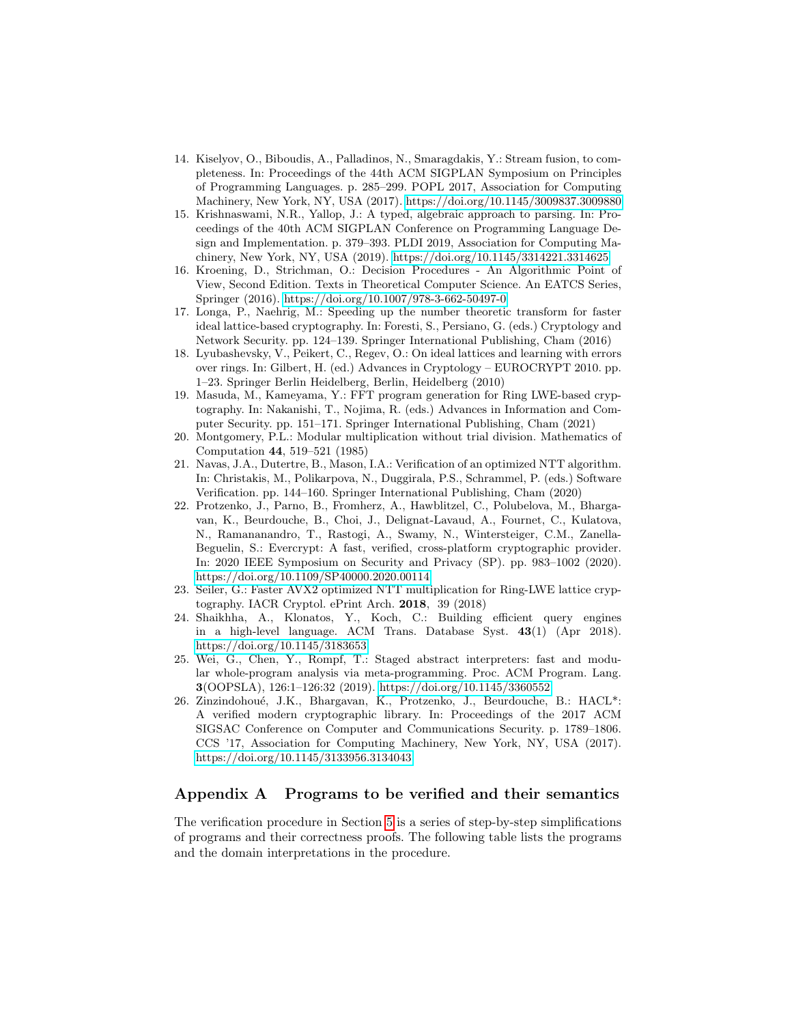- <span id="page-17-0"></span>14. Kiselyov, O., Biboudis, A., Palladinos, N., Smaragdakis, Y.: Stream fusion, to completeness. In: Proceedings of the 44th ACM SIGPLAN Symposium on Principles of Programming Languages. p. 285–299. POPL 2017, Association for Computing Machinery, New York, NY, USA (2017).<https://doi.org/10.1145/3009837.3009880>
- <span id="page-17-1"></span>15. Krishnaswami, N.R., Yallop, J.: A typed, algebraic approach to parsing. In: Proceedings of the 40th ACM SIGPLAN Conference on Programming Language Design and Implementation. p. 379–393. PLDI 2019, Association for Computing Machinery, New York, NY, USA (2019).<https://doi.org/10.1145/3314221.3314625>
- <span id="page-17-10"></span>16. Kroening, D., Strichman, O.: Decision Procedures - An Algorithmic Point of View, Second Edition. Texts in Theoretical Computer Science. An EATCS Series, Springer (2016).<https://doi.org/10.1007/978-3-662-50497-0>
- <span id="page-17-6"></span>17. Longa, P., Naehrig, M.: Speeding up the number theoretic transform for faster ideal lattice-based cryptography. In: Foresti, S., Persiano, G. (eds.) Cryptology and Network Security. pp. 124–139. Springer International Publishing, Cham (2016)
- <span id="page-17-5"></span>18. Lyubashevsky, V., Peikert, C., Regev, O.: On ideal lattices and learning with errors over rings. In: Gilbert, H. (ed.) Advances in Cryptology – EUROCRYPT 2010. pp. 1–23. Springer Berlin Heidelberg, Berlin, Heidelberg (2010)
- <span id="page-17-8"></span>19. Masuda, M., Kameyama, Y.: FFT program generation for Ring LWE-based cryptography. In: Nakanishi, T., Nojima, R. (eds.) Advances in Information and Computer Security. pp. 151–171. Springer International Publishing, Cham (2021)
- <span id="page-17-9"></span>20. Montgomery, P.L.: Modular multiplication without trial division. Mathematics of Computation 44, 519–521 (1985)
- <span id="page-17-12"></span>21. Navas, J.A., Dutertre, B., Mason, I.A.: Verification of an optimized NTT algorithm. In: Christakis, M., Polikarpova, N., Duggirala, P.S., Schrammel, P. (eds.) Software Verification. pp. 144–160. Springer International Publishing, Cham (2020)
- <span id="page-17-13"></span>22. Protzenko, J., Parno, B., Fromherz, A., Hawblitzel, C., Polubelova, M., Bhargavan, K., Beurdouche, B., Choi, J., Delignat-Lavaud, A., Fournet, C., Kulatova, N., Ramananandro, T., Rastogi, A., Swamy, N., Wintersteiger, C.M., Zanella-Beguelin, S.: Evercrypt: A fast, verified, cross-platform cryptographic provider. In: 2020 IEEE Symposium on Security and Privacy (SP). pp. 983–1002 (2020). <https://doi.org/10.1109/SP40000.2020.00114>
- <span id="page-17-7"></span>23. Seiler, G.: Faster AVX2 optimized NTT multiplication for Ring-LWE lattice cryptography. IACR Cryptol. ePrint Arch. 2018, 39 (2018)
- <span id="page-17-2"></span>24. Shaikhha, A., Klonatos, Y., Koch, C.: Building efficient query engines in a high-level language. ACM Trans. Database Syst. 43(1) (Apr 2018). <https://doi.org/10.1145/3183653>
- <span id="page-17-3"></span>25. Wei, G., Chen, Y., Rompf, T.: Staged abstract interpreters: fast and modular whole-program analysis via meta-programming. Proc. ACM Program. Lang. 3(OOPSLA), 126:1–126:32 (2019).<https://doi.org/10.1145/3360552>
- <span id="page-17-4"></span>26. Zinzindohoué, J.K., Bhargavan, K., Protzenko, J., Beurdouche, B.: HACL\*: A verified modern cryptographic library. In: Proceedings of the 2017 ACM SIGSAC Conference on Computer and Communications Security. p. 1789–1806. CCS '17, Association for Computing Machinery, New York, NY, USA (2017). <https://doi.org/10.1145/3133956.3134043>

## <span id="page-17-11"></span>Appendix A Programs to be verified and their semantics

The verification procedure in Section [5](#page-11-0) is a series of step-by-step simplifications of programs and their correctness proofs. The following table lists the programs and the domain interpretations in the procedure.